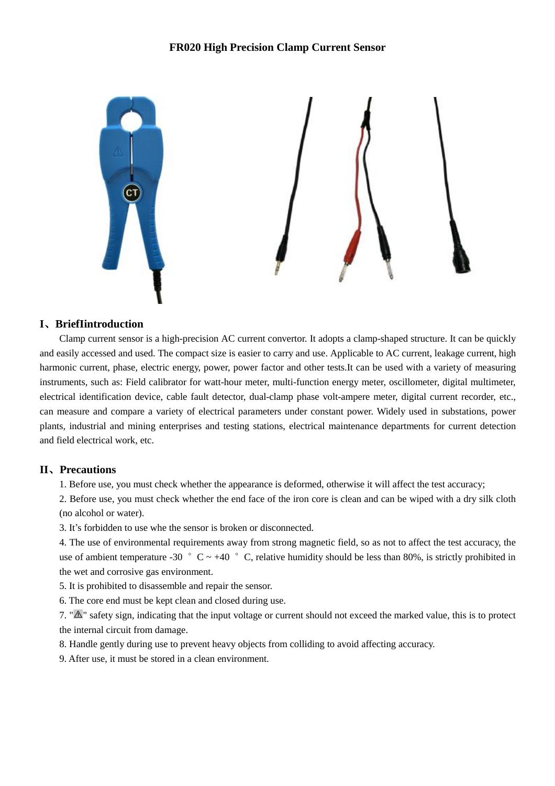## **FR020 High Precision Clamp Current Sensor**



#### **I、BriefIintroduction**

Clamp current sensor is a high-precision AC current convertor. It adopts a clamp-shaped structure. It can be quickly and easily accessed and used. The compact size is easier to carry and use. Applicable to AC current, leakage current, high harmonic current, phase, electric energy, power, power factor and other tests.It can be used with a variety of measuring instruments, such as: Field calibrator for watt-hour meter, multi-function energy meter, oscillometer, digital multimeter, electrical identification device, cable fault detector, dual-clamp phase volt-ampere meter, digital current recorder, etc., can measure and compare a variety of electrical parameters under constant power. Widely used in substations, power plants, industrial and mining enterprises and testing stations, electrical maintenance departments for current detection and field electrical work, etc.

### **II、Precautions**

1. Before use, you must check whether the appearance is deformed, otherwise it will affect the test accuracy;

2. Before use, you must check whether the end face of the iron core is clean and can be wiped with a dry silk cloth (no alcohol or water).

3. It's forbidden to use whe the sensor is broken or disconnected.

4. The use of environmental requirements away from strong magnetic field, so as not to affect the test accuracy, the use of ambient temperature -30  $\degree$  C ~ +40  $\degree$  C, relative humidity should be less than 80%, is strictly prohibited in the wet and corrosive gas environment.

5. It is prohibited to disassemble and repair the sensor.

6. The core end must be kept clean and closed during use.

7. " $\Delta$ " safety sign, indicating that the input voltage or current should not exceed the marked value, this is to protect the internal circuit from damage.

8. Handle gently during use to prevent heavy objects from colliding to avoid affecting accuracy.

9. After use, it must be stored in a clean environment.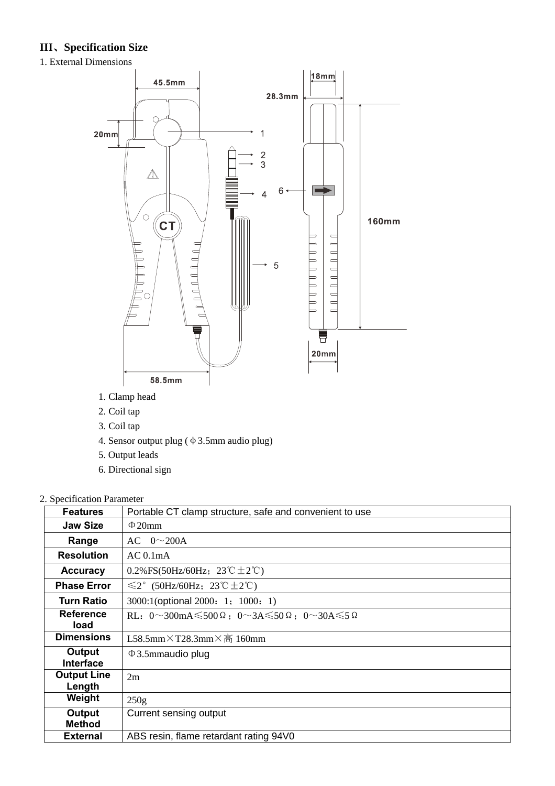# **III、Specification Size**

1. External Dimensions



- 1. Clamp head
- 2. Coil tap
- 3. Coil tap
- 4. Sensor output plug (φ3.5mm audio plug)
- 5. Output leads
- 6. Directional sign

## 2. Specification Parameter

| <b>Features</b>              | Portable CT clamp structure, safe and convenient to use                                                           |
|------------------------------|-------------------------------------------------------------------------------------------------------------------|
| <b>Jaw Size</b>              | $\Phi$ 20mm                                                                                                       |
| Range                        | $AC \quad 0 \sim 200A$                                                                                            |
| <b>Resolution</b>            | AC 0.1 <sub>m</sub> A                                                                                             |
| <b>Accuracy</b>              | 0.2%FS(50Hz/60Hz; $23^{\circ}C \pm 2^{\circ}C$ )                                                                  |
| <b>Phase Error</b>           | $\leq$ 2° (50Hz/60Hz; 23°C $\pm$ 2°C)                                                                             |
| <b>Turn Ratio</b>            | 3000:1(optional 2000: 1; 1000: 1)                                                                                 |
| <b>Reference</b><br>load     | RL: $0 \sim 300 \text{mA} \le 500 \Omega$ ; $0 \sim 3 \text{A} \le 50 \Omega$ ; $0 \sim 30 \text{A} \le 5 \Omega$ |
| <b>Dimensions</b>            | L58.5mm×T28.3mm×高 160mm                                                                                           |
| Output<br><b>Interface</b>   | $\Phi$ 3.5mmaudio plug                                                                                            |
| <b>Output Line</b><br>Length | 2m                                                                                                                |
| Weight                       | 250g                                                                                                              |
| Output<br><b>Method</b>      | Current sensing output                                                                                            |
| <b>External</b>              | ABS resin, flame retardant rating 94V0                                                                            |